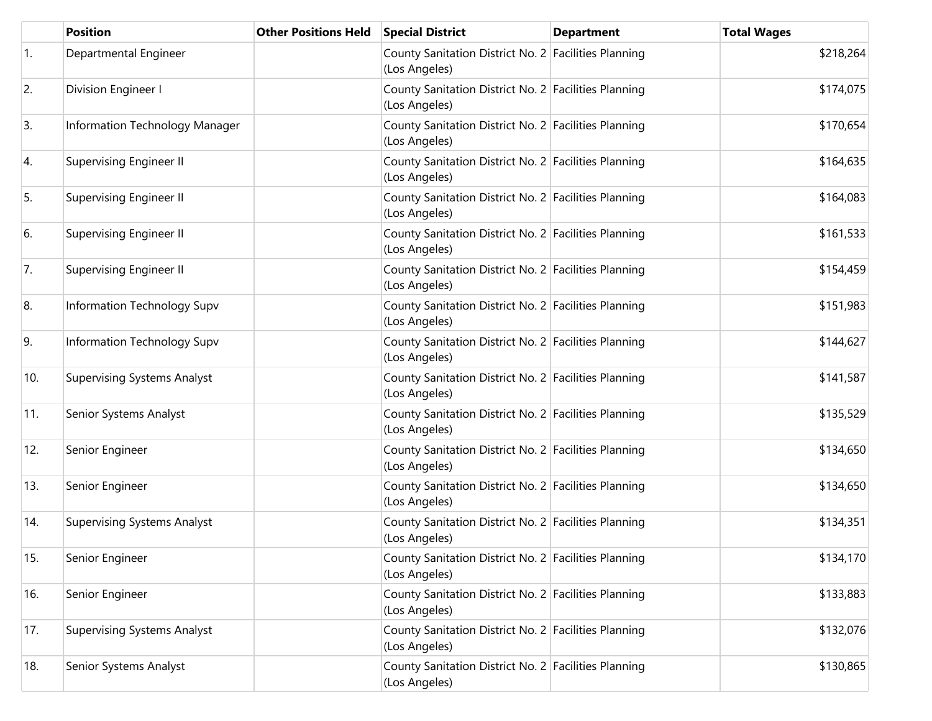|                  | <b>Position</b>                    | <b>Other Positions Held</b> | <b>Special District</b>                                               | <b>Department</b> | <b>Total Wages</b> |
|------------------|------------------------------------|-----------------------------|-----------------------------------------------------------------------|-------------------|--------------------|
| $\overline{1}$ . | Departmental Engineer              |                             | County Sanitation District No. 2 Facilities Planning<br>(Los Angeles) |                   | \$218,264          |
| 2.               | Division Engineer I                |                             | County Sanitation District No. 2 Facilities Planning<br>(Los Angeles) |                   | \$174,075          |
| 3.               | Information Technology Manager     |                             | County Sanitation District No. 2 Facilities Planning<br>(Los Angeles) |                   | \$170,654          |
| 4.               | Supervising Engineer II            |                             | County Sanitation District No. 2 Facilities Planning<br>(Los Angeles) |                   | \$164,635          |
| 5.               | <b>Supervising Engineer II</b>     |                             | County Sanitation District No. 2 Facilities Planning<br>(Los Angeles) |                   | \$164,083          |
| 6.               | Supervising Engineer II            |                             | County Sanitation District No. 2 Facilities Planning<br>(Los Angeles) |                   | \$161,533          |
| 7.               | <b>Supervising Engineer II</b>     |                             | County Sanitation District No. 2 Facilities Planning<br>(Los Angeles) |                   | \$154,459          |
| 8.               | Information Technology Supv        |                             | County Sanitation District No. 2 Facilities Planning<br>(Los Angeles) |                   | \$151,983          |
| 9.               | Information Technology Supv        |                             | County Sanitation District No. 2 Facilities Planning<br>(Los Angeles) |                   | \$144,627          |
| 10.              | <b>Supervising Systems Analyst</b> |                             | County Sanitation District No. 2 Facilities Planning<br>(Los Angeles) |                   | \$141,587          |
| 11.              | Senior Systems Analyst             |                             | County Sanitation District No. 2 Facilities Planning<br>(Los Angeles) |                   | \$135,529          |
| 12.              | Senior Engineer                    |                             | County Sanitation District No. 2 Facilities Planning<br>(Los Angeles) |                   | \$134,650          |
| 13.              | Senior Engineer                    |                             | County Sanitation District No. 2 Facilities Planning<br>(Los Angeles) |                   | \$134,650          |
| 14.              | <b>Supervising Systems Analyst</b> |                             | County Sanitation District No. 2 Facilities Planning<br>(Los Angeles) |                   | \$134,351          |
| 15.              | Senior Engineer                    |                             | County Sanitation District No. 2 Facilities Planning<br>(Los Angeles) |                   | \$134,170          |
| 16.              | Senior Engineer                    |                             | County Sanitation District No. 2 Facilities Planning<br>(Los Angeles) |                   | \$133,883          |
| 17.              | <b>Supervising Systems Analyst</b> |                             | County Sanitation District No. 2 Facilities Planning<br>(Los Angeles) |                   | \$132,076          |
| 18.              | Senior Systems Analyst             |                             | County Sanitation District No. 2 Facilities Planning<br>(Los Angeles) |                   | \$130,865          |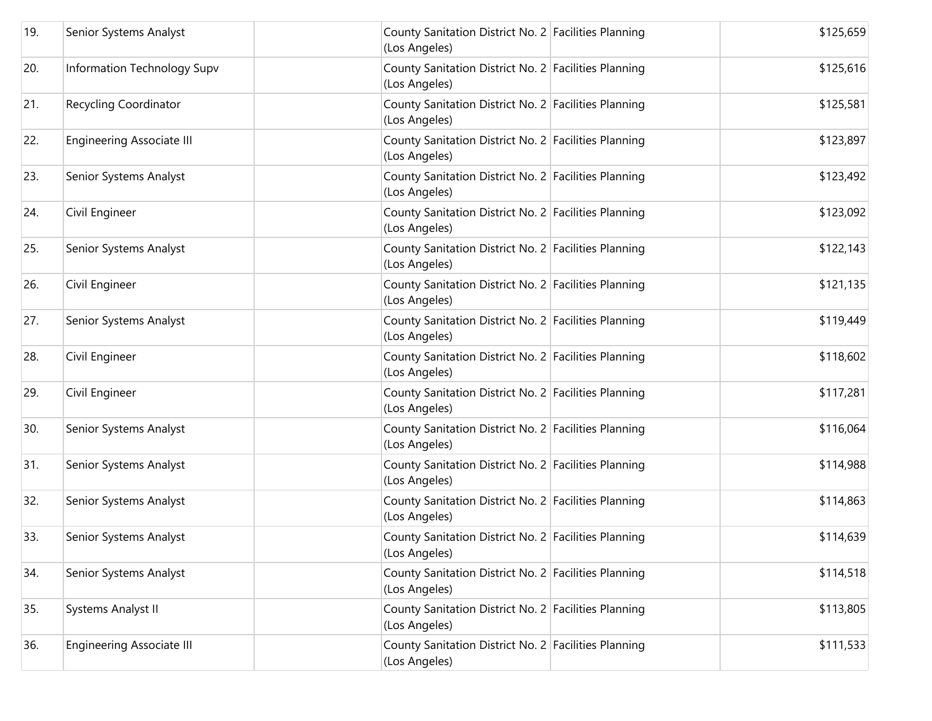| 19. | Senior Systems Analyst           | County Sanitation District No. 2 Facilities Planning<br>(Los Angeles) | \$125,659 |
|-----|----------------------------------|-----------------------------------------------------------------------|-----------|
| 20. | Information Technology Supv      | County Sanitation District No. 2 Facilities Planning<br>(Los Angeles) | \$125,616 |
| 21. | <b>Recycling Coordinator</b>     | County Sanitation District No. 2 Facilities Planning<br>(Los Angeles) | \$125,581 |
| 22. | <b>Engineering Associate III</b> | County Sanitation District No. 2 Facilities Planning<br>(Los Angeles) | \$123,897 |
| 23. | Senior Systems Analyst           | County Sanitation District No. 2 Facilities Planning<br>(Los Angeles) | \$123,492 |
| 24. | Civil Engineer                   | County Sanitation District No. 2 Facilities Planning<br>(Los Angeles) | \$123,092 |
| 25. | Senior Systems Analyst           | County Sanitation District No. 2 Facilities Planning<br>(Los Angeles) | \$122,143 |
| 26. | Civil Engineer                   | County Sanitation District No. 2 Facilities Planning<br>(Los Angeles) | \$121,135 |
| 27. | Senior Systems Analyst           | County Sanitation District No. 2 Facilities Planning<br>(Los Angeles) | \$119,449 |
| 28. | Civil Engineer                   | County Sanitation District No. 2 Facilities Planning<br>(Los Angeles) | \$118,602 |
| 29. | Civil Engineer                   | County Sanitation District No. 2 Facilities Planning<br>(Los Angeles) | \$117,281 |
| 30. | Senior Systems Analyst           | County Sanitation District No. 2 Facilities Planning<br>(Los Angeles) | \$116,064 |
| 31. | Senior Systems Analyst           | County Sanitation District No. 2 Facilities Planning<br>(Los Angeles) | \$114,988 |
| 32. | Senior Systems Analyst           | County Sanitation District No. 2 Facilities Planning<br>(Los Angeles) | \$114,863 |
| 33. | Senior Systems Analyst           | County Sanitation District No. 2 Facilities Planning<br>(Los Angeles) | \$114,639 |
| 34. | Senior Systems Analyst           | County Sanitation District No. 2 Facilities Planning<br>(Los Angeles) | \$114,518 |
| 35. | Systems Analyst II               | County Sanitation District No. 2 Facilities Planning<br>(Los Angeles) | \$113,805 |
| 36. | <b>Engineering Associate III</b> | County Sanitation District No. 2 Facilities Planning<br>(Los Angeles) | \$111,533 |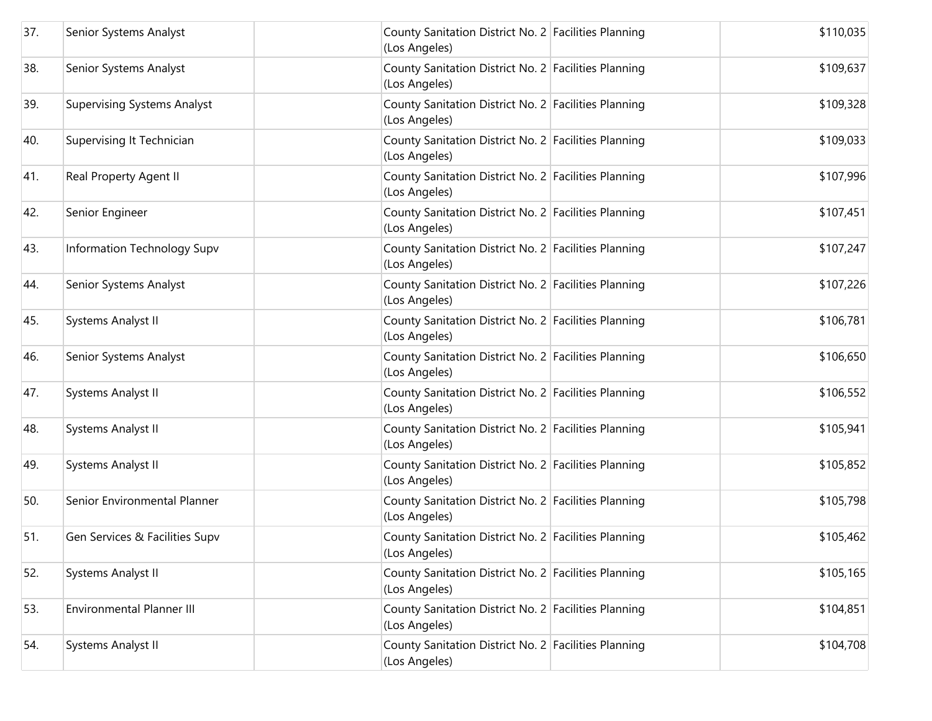| 37. | Senior Systems Analyst             | County Sanitation District No. 2 Facilities Planning<br>(Los Angeles) | \$110,035 |
|-----|------------------------------------|-----------------------------------------------------------------------|-----------|
| 38. | Senior Systems Analyst             | County Sanitation District No. 2 Facilities Planning<br>(Los Angeles) | \$109,637 |
| 39. | <b>Supervising Systems Analyst</b> | County Sanitation District No. 2 Facilities Planning<br>(Los Angeles) | \$109,328 |
| 40. | Supervising It Technician          | County Sanitation District No. 2 Facilities Planning<br>(Los Angeles) | \$109,033 |
| 41. | Real Property Agent II             | County Sanitation District No. 2 Facilities Planning<br>(Los Angeles) | \$107,996 |
| 42. | Senior Engineer                    | County Sanitation District No. 2 Facilities Planning<br>(Los Angeles) | \$107,451 |
| 43. | Information Technology Supv        | County Sanitation District No. 2 Facilities Planning<br>(Los Angeles) | \$107,247 |
| 44. | Senior Systems Analyst             | County Sanitation District No. 2 Facilities Planning<br>(Los Angeles) | \$107,226 |
| 45. | Systems Analyst II                 | County Sanitation District No. 2 Facilities Planning<br>(Los Angeles) | \$106,781 |
| 46. | Senior Systems Analyst             | County Sanitation District No. 2 Facilities Planning<br>(Los Angeles) | \$106,650 |
| 47. | Systems Analyst II                 | County Sanitation District No. 2 Facilities Planning<br>(Los Angeles) | \$106,552 |
| 48. | Systems Analyst II                 | County Sanitation District No. 2 Facilities Planning<br>(Los Angeles) | \$105,941 |
| 49. | Systems Analyst II                 | County Sanitation District No. 2 Facilities Planning<br>(Los Angeles) | \$105,852 |
| 50. | Senior Environmental Planner       | County Sanitation District No. 2 Facilities Planning<br>(Los Angeles) | \$105,798 |
| 51. | Gen Services & Facilities Supv     | County Sanitation District No. 2 Facilities Planning<br>(Los Angeles) | \$105,462 |
| 52. | Systems Analyst II                 | County Sanitation District No. 2 Facilities Planning<br>(Los Angeles) | \$105,165 |
| 53. | <b>Environmental Planner III</b>   | County Sanitation District No. 2 Facilities Planning<br>(Los Angeles) | \$104,851 |
| 54. | Systems Analyst II                 | County Sanitation District No. 2 Facilities Planning<br>(Los Angeles) | \$104,708 |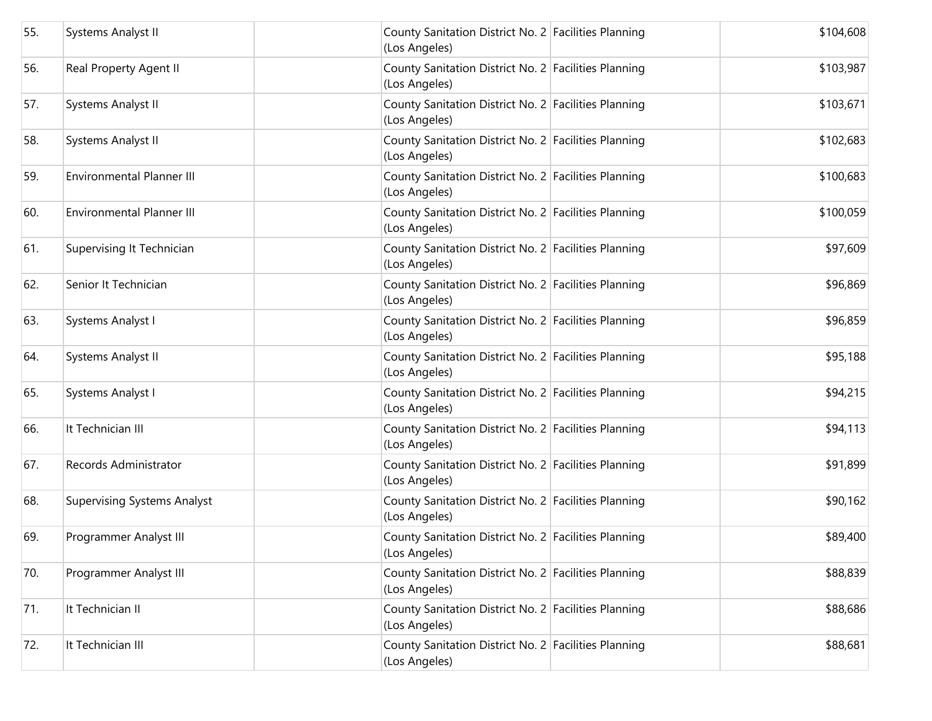| 55. | Systems Analyst II                 | County Sanitation District No. 2 Facilities Planning<br>(Los Angeles) | \$104,608 |
|-----|------------------------------------|-----------------------------------------------------------------------|-----------|
| 56. | Real Property Agent II             | County Sanitation District No. 2 Facilities Planning<br>(Los Angeles) | \$103,987 |
| 57. | Systems Analyst II                 | County Sanitation District No. 2 Facilities Planning<br>(Los Angeles) | \$103,671 |
| 58. | Systems Analyst II                 | County Sanitation District No. 2 Facilities Planning<br>(Los Angeles) | \$102,683 |
| 59. | <b>Environmental Planner III</b>   | County Sanitation District No. 2 Facilities Planning<br>(Los Angeles) | \$100,683 |
| 60. | <b>Environmental Planner III</b>   | County Sanitation District No. 2 Facilities Planning<br>(Los Angeles) | \$100,059 |
| 61. | Supervising It Technician          | County Sanitation District No. 2 Facilities Planning<br>(Los Angeles) | \$97,609  |
| 62. | Senior It Technician               | County Sanitation District No. 2 Facilities Planning<br>(Los Angeles) | \$96,869  |
| 63. | Systems Analyst I                  | County Sanitation District No. 2 Facilities Planning<br>(Los Angeles) | \$96,859  |
| 64. | Systems Analyst II                 | County Sanitation District No. 2 Facilities Planning<br>(Los Angeles) | \$95,188  |
| 65. | Systems Analyst I                  | County Sanitation District No. 2 Facilities Planning<br>(Los Angeles) | \$94,215  |
| 66. | It Technician III                  | County Sanitation District No. 2 Facilities Planning<br>(Los Angeles) | \$94,113  |
| 67. | Records Administrator              | County Sanitation District No. 2 Facilities Planning<br>(Los Angeles) | \$91,899  |
| 68. | <b>Supervising Systems Analyst</b> | County Sanitation District No. 2 Facilities Planning<br>(Los Angeles) | \$90,162  |
| 69. | Programmer Analyst III             | County Sanitation District No. 2 Facilities Planning<br>(Los Angeles) | \$89,400  |
| 70. | Programmer Analyst III             | County Sanitation District No. 2 Facilities Planning<br>(Los Angeles) | \$88,839  |
| 71. | It Technician II                   | County Sanitation District No. 2 Facilities Planning<br>(Los Angeles) | \$88,686  |
| 72. | It Technician III                  | County Sanitation District No. 2 Facilities Planning<br>(Los Angeles) | \$88,681  |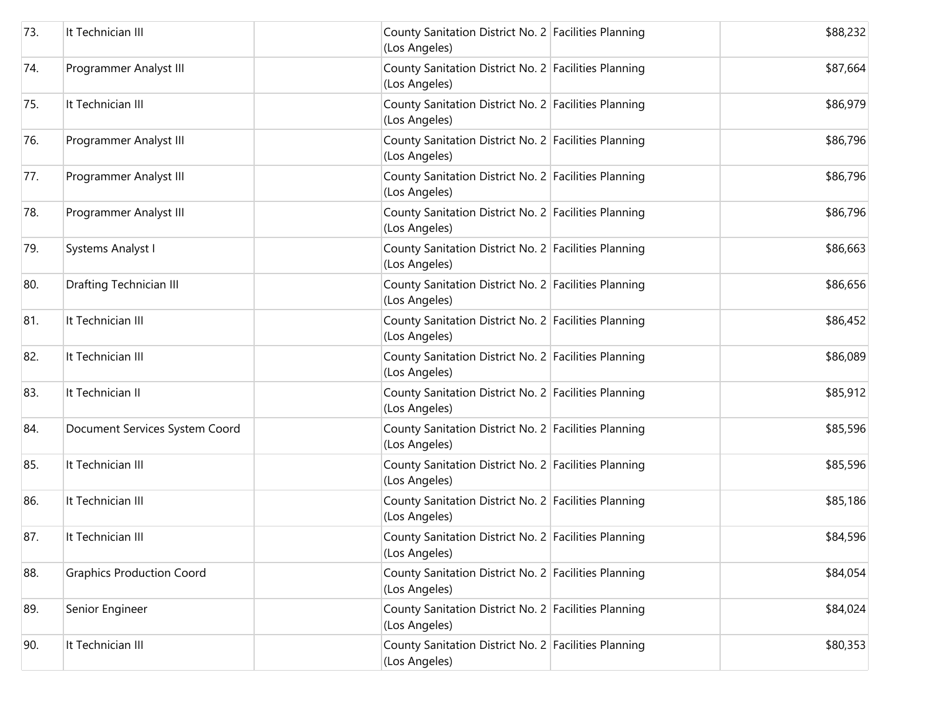| 73. | It Technician III                | County Sanitation District No. 2 Facilities Planning<br>(Los Angeles) | \$88,232 |
|-----|----------------------------------|-----------------------------------------------------------------------|----------|
| 74. | Programmer Analyst III           | County Sanitation District No. 2 Facilities Planning<br>(Los Angeles) | \$87,664 |
| 75. | It Technician III                | County Sanitation District No. 2 Facilities Planning<br>(Los Angeles) | \$86,979 |
| 76. | Programmer Analyst III           | County Sanitation District No. 2 Facilities Planning<br>(Los Angeles) | \$86,796 |
| 77. | Programmer Analyst III           | County Sanitation District No. 2 Facilities Planning<br>(Los Angeles) | \$86,796 |
| 78. | Programmer Analyst III           | County Sanitation District No. 2 Facilities Planning<br>(Los Angeles) | \$86,796 |
| 79. | Systems Analyst I                | County Sanitation District No. 2 Facilities Planning<br>(Los Angeles) | \$86,663 |
| 80. | Drafting Technician III          | County Sanitation District No. 2 Facilities Planning<br>(Los Angeles) | \$86,656 |
| 81. | It Technician III                | County Sanitation District No. 2 Facilities Planning<br>(Los Angeles) | \$86,452 |
| 82. | It Technician III                | County Sanitation District No. 2 Facilities Planning<br>(Los Angeles) | \$86,089 |
| 83. | It Technician II                 | County Sanitation District No. 2 Facilities Planning<br>(Los Angeles) | \$85,912 |
| 84. | Document Services System Coord   | County Sanitation District No. 2 Facilities Planning<br>(Los Angeles) | \$85,596 |
| 85. | It Technician III                | County Sanitation District No. 2 Facilities Planning<br>(Los Angeles) | \$85,596 |
| 86. | It Technician III                | County Sanitation District No. 2 Facilities Planning<br>(Los Angeles) | \$85,186 |
| 87. | It Technician III                | County Sanitation District No. 2 Facilities Planning<br>(Los Angeles) | \$84,596 |
| 88. | <b>Graphics Production Coord</b> | County Sanitation District No. 2 Facilities Planning<br>(Los Angeles) | \$84,054 |
| 89. | Senior Engineer                  | County Sanitation District No. 2 Facilities Planning<br>(Los Angeles) | \$84,024 |
| 90. | It Technician III                | County Sanitation District No. 2 Facilities Planning<br>(Los Angeles) | \$80,353 |